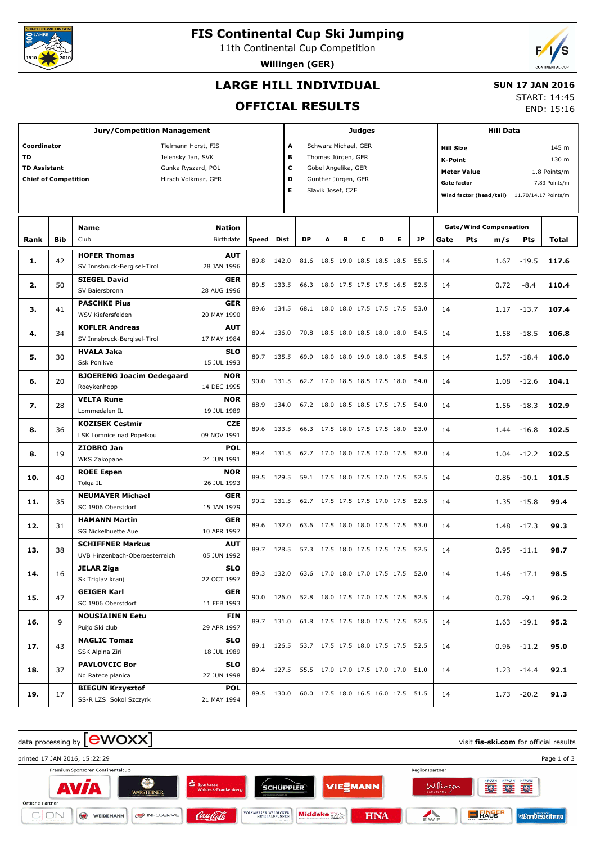

# **FIS Continental Cup Ski Jumping**

11th Continental Cup Competition

**Willingen (GER)**



## **LARGE HILL INDIVIDUAL**

#### **SUN 17 JAN 2016**

#### **OFFICIAL RESULTS**

START: 14:45

END: 15:16

| <b>Jury/Competition Management</b>             |                                    |                                                |       |            |           |                     | <b>Judges</b>      |                           |                          |                                              |                         |                    |                               | <b>Hill Data</b>          |               |  |  |  |
|------------------------------------------------|------------------------------------|------------------------------------------------|-------|------------|-----------|---------------------|--------------------|---------------------------|--------------------------|----------------------------------------------|-------------------------|--------------------|-------------------------------|---------------------------|---------------|--|--|--|
|                                                | Coordinator<br>Tielmann Horst, FIS |                                                |       |            |           |                     |                    | A<br>Schwarz Michael, GER |                          |                                              |                         |                    |                               | 145 m<br><b>Hill Size</b> |               |  |  |  |
| <b>TD</b>                                      | В<br>Jelensky Jan, SVK             |                                                |       |            |           |                     | Thomas Jürgen, GER |                           |                          |                                              |                         |                    |                               |                           |               |  |  |  |
| <b>TD Assistant</b><br>c<br>Gunka Ryszard, POL |                                    |                                                |       |            |           | Göbel Angelika, GER |                    |                           |                          |                                              | 130 m<br><b>K-Point</b> |                    |                               |                           |               |  |  |  |
| <b>Chief of Competition</b>                    |                                    | Hirsch Volkmar, GER                            |       | D          |           | Günther Jürgen, GER |                    |                           |                          |                                              |                         | <b>Meter Value</b> |                               |                           | 1.8 Points/m  |  |  |  |
|                                                |                                    |                                                |       | Е          |           | Slavik Josef, CZE   |                    |                           |                          |                                              | <b>Gate factor</b>      |                    |                               |                           | 7.83 Points/m |  |  |  |
|                                                |                                    |                                                |       |            |           |                     |                    |                           |                          | Wind factor (head/tail) 11.70/14.17 Points/m |                         |                    |                               |                           |               |  |  |  |
|                                                |                                    |                                                |       |            |           |                     |                    |                           |                          |                                              |                         |                    |                               |                           |               |  |  |  |
|                                                |                                    | <b>Name</b><br><b>Nation</b>                   |       |            |           |                     |                    |                           |                          |                                              |                         |                    | <b>Gate/Wind Compensation</b> |                           |               |  |  |  |
| Rank                                           | <b>Bib</b>                         | Birthdate<br>Club                              | Speed | Dist       | <b>DP</b> | A                   | в                  | с                         | Е<br>D                   | <b>JP</b>                                    | Gate                    | Pts                | m/s                           | <b>Pts</b>                | Total         |  |  |  |
| 1.                                             | 42                                 | <b>HOFER Thomas</b><br><b>AUT</b>              | 89.8  | 142.0      | 81.6      |                     |                    |                           | 18.5 19.0 18.5 18.5 18.5 | 55.5                                         | 14                      |                    | 1.67                          | $-19.5$                   | 117.6         |  |  |  |
|                                                |                                    | SV Innsbruck-Bergisel-Tirol<br>28 JAN 1996     |       |            |           |                     |                    |                           |                          |                                              |                         |                    |                               |                           |               |  |  |  |
| 2.                                             | 50                                 | <b>SIEGEL David</b><br><b>GER</b>              | 89.5  | 133.5      | 66.3      |                     |                    |                           | 18.0 17.5 17.5 17.5 16.5 | 52.5                                         | 14                      |                    | 0.72                          | $-8.4$                    | 110.4         |  |  |  |
|                                                |                                    | 28 AUG 1996<br>SV Baiersbronn                  |       |            |           |                     |                    |                           |                          |                                              |                         |                    |                               |                           |               |  |  |  |
| з.                                             | 41                                 | <b>PASCHKE Pius</b><br><b>GER</b>              |       | 89.6 134.5 | 68.1      |                     |                    |                           | 18.0 18.0 17.5 17.5 17.5 | 53.0                                         | 14                      |                    | 1.17                          | $-13.7$                   | 107.4         |  |  |  |
|                                                |                                    | 20 MAY 1990<br>WSV Kiefersfelden               |       |            |           |                     |                    |                           |                          |                                              |                         |                    |                               |                           |               |  |  |  |
| 4.                                             | 34                                 | <b>KOFLER Andreas</b><br><b>AUT</b>            | 89.4  | 136.0      | 70.8      |                     |                    |                           | 18.5 18.0 18.5 18.0 18.0 | 54.5                                         | 14                      |                    | 1.58                          | $-18.5$                   | 106.8         |  |  |  |
|                                                |                                    | SV Innsbruck-Bergisel-Tirol<br>17 MAY 1984     |       |            |           |                     |                    |                           |                          |                                              |                         |                    |                               |                           |               |  |  |  |
|                                                |                                    | <b>HVALA Jaka</b><br><b>SLO</b>                | 89.7  | 135.5      | 69.9      |                     |                    |                           | 18.0 18.0 19.0 18.0 18.5 | 54.5                                         |                         |                    |                               |                           |               |  |  |  |
| 5.                                             | 30                                 | <b>Ssk Ponikve</b><br>15 JUL 1993              |       |            |           |                     |                    |                           |                          |                                              | 14                      |                    | 1.57                          | $-18.4$                   | 106.0         |  |  |  |
|                                                |                                    | <b>BJOERENG Joacim Oedegaard</b><br><b>NOR</b> | 90.0  | 131.5      |           |                     |                    |                           | 17.0 18.5 18.5 17.5 18.0 | 54.0                                         |                         |                    |                               |                           |               |  |  |  |
| 6.                                             | 20                                 | 14 DEC 1995<br>Roeykenhopp                     |       |            | 62.7      |                     |                    |                           |                          |                                              | 14                      |                    | 1.08                          | $-12.6$                   | 104.1         |  |  |  |
|                                                |                                    | <b>VELTA Rune</b><br><b>NOR</b>                | 88.9  |            | 67.2      |                     |                    |                           | 18.0 18.5 18.5 17.5 17.5 |                                              |                         |                    |                               |                           |               |  |  |  |
| 7.                                             | 28                                 | Lommedalen IL<br>19 JUL 1989                   |       | 134.0      |           |                     |                    |                           |                          | 54.0                                         | 14                      |                    | 1.56                          | $-18.3$                   | 102.9         |  |  |  |
|                                                |                                    | <b>KOZISEK Cestmir</b><br><b>CZE</b>           | 89.6  | 133.5      |           |                     |                    |                           | 17.5 18.0 17.5 17.5 18.0 | 53.0                                         |                         |                    |                               |                           |               |  |  |  |
| 8.                                             | 36                                 | LSK Lomnice nad Popelkou<br>09 NOV 1991        |       |            | 66.3      |                     |                    |                           |                          |                                              | 14                      |                    | 1.44                          | $-16.8$                   | 102.5         |  |  |  |
|                                                |                                    | ZIOBRO Jan<br><b>POL</b>                       | 89.4  | 131.5      |           |                     |                    |                           | 17.0 18.0 17.5 17.0 17.5 | 52.0                                         |                         |                    |                               |                           |               |  |  |  |
| 8.                                             | 19                                 | 24 JUN 1991<br>WKS Zakopane                    |       |            | 62.7      |                     |                    |                           |                          |                                              | 14                      |                    | 1.04                          | $-12.2$                   | 102.5         |  |  |  |
|                                                |                                    | <b>ROEE Espen</b><br><b>NOR</b>                | 89.5  | 129.5      | 59.1      |                     |                    |                           | 17.5 18.0 17.5 17.0 17.5 | 52.5                                         |                         |                    |                               |                           |               |  |  |  |
| 10.                                            | 40                                 | 26 JUL 1993<br>Tolga IL                        |       |            |           |                     |                    |                           |                          |                                              | 14                      |                    | 0.86                          | $-10.1$                   | 101.5         |  |  |  |
|                                                | 35                                 | <b>NEUMAYER Michael</b><br><b>GER</b>          |       | 90.2 131.5 | 62.7      |                     |                    |                           | 17.5 17.5 17.5 17.0 17.5 | 52.5                                         |                         |                    |                               |                           |               |  |  |  |
| 11.                                            |                                    | SC 1906 Oberstdorf<br>15 JAN 1979              |       |            |           |                     |                    |                           |                          |                                              | 14                      |                    | 1.35                          | $-15.8$                   | 99.4          |  |  |  |
|                                                |                                    | <b>HAMANN Martin</b><br><b>GER</b>             | 89.6  | 132.0      | 63.6      |                     |                    |                           | 17.5 18.0 18.0 17.5 17.5 | 53.0                                         |                         |                    | 1.48                          |                           |               |  |  |  |
| 12.                                            | 31                                 | SG Nickelhuette Aue<br>10 APR 1997             |       |            |           |                     |                    |                           |                          |                                              | 14                      |                    |                               | $-17.3$                   | 99.3          |  |  |  |
| 13.                                            | 38                                 | <b>SCHIFFNER Markus</b><br><b>AUT</b>          | 89.7  | 128.5      | 57.3      |                     |                    |                           | 17.5 18.0 17.5 17.5 17.5 | 52.5                                         | 14                      |                    | 0.95                          | $-11.1$                   | 98.7          |  |  |  |
|                                                |                                    | 05 JUN 1992<br>UVB Hinzenbach-Oberoesterreich  |       |            |           |                     |                    |                           |                          |                                              |                         |                    |                               |                           |               |  |  |  |
| 14.                                            | 16                                 | sio<br><b>JELAR Ziga</b>                       |       | 89.3 132.0 | 63.6      |                     |                    |                           | 17.0 18.0 17.0 17.5 17.5 | 52.0                                         | 14                      |                    |                               | $1.46 - 17.1$             | 98.5          |  |  |  |
|                                                |                                    | Sk Triglav kranj<br>22 OCT 1997                |       |            |           |                     |                    |                           |                          |                                              |                         |                    |                               |                           |               |  |  |  |
| 15.                                            | 47                                 | <b>GEIGER Karl</b><br><b>GER</b>               |       | 90.0 126.0 | 52.8      |                     |                    |                           | 18.0 17.5 17.0 17.5 17.5 | 52.5                                         | 14                      |                    | 0.78                          | $-9.1$                    | 96.2          |  |  |  |
|                                                |                                    | SC 1906 Oberstdorf<br>11 FEB 1993              |       |            |           |                     |                    |                           |                          |                                              |                         |                    |                               |                           |               |  |  |  |
| 16.                                            | 9                                  | <b>NOUSIAINEN Eetu</b><br><b>FIN</b>           |       | 89.7 131.0 | 61.8      |                     |                    |                           | 17.5 17.5 18.0 17.5 17.5 | 52.5                                         | 14                      |                    |                               | $1.63 - 19.1$             | 95.2          |  |  |  |
|                                                |                                    | Puijo Ski club<br>29 APR 1997                  |       |            |           |                     |                    |                           |                          |                                              |                         |                    |                               |                           |               |  |  |  |
|                                                |                                    | <b>NAGLIC Tomaz</b><br><b>SLO</b>              |       | 89.1 126.5 | 53.7      |                     |                    |                           | 17.5 17.5 18.0 17.5 17.5 | 52.5                                         |                         |                    |                               |                           |               |  |  |  |
| 17.                                            | 43                                 | SSK Alpina Ziri<br>18 JUL 1989                 |       |            |           |                     |                    |                           |                          |                                              | 14                      |                    |                               | $0.96 - 11.2$             | 95.0          |  |  |  |
|                                                |                                    | <b>PAVLOVCIC Bor</b><br><b>SLO</b>             |       | 89.4 127.5 | 55.5      |                     |                    |                           | 17.0 17.0 17.5 17.0 17.0 |                                              |                         |                    |                               |                           |               |  |  |  |
| 18.                                            | 37                                 | Nd Ratece planica<br>27 JUN 1998               |       |            |           |                     |                    |                           |                          | 51.0                                         | 14                      |                    | 1.23                          | $-14.4$                   | 92.1          |  |  |  |
|                                                |                                    | <b>BIEGUN Krzysztof</b><br><b>POL</b>          |       | 89.5 130.0 | 60.0      |                     |                    |                           | 17.5 18.0 16.5 16.0 17.5 | 51.5                                         |                         |                    |                               |                           |               |  |  |  |
| 19.                                            | 17                                 | SS-R LZS Sokol Szczyrk<br>21 MAY 1994          |       |            |           |                     |                    |                           |                          |                                              | 14                      |                    |                               | $1.73 - 20.2$             | 91.3          |  |  |  |
|                                                |                                    |                                                |       |            |           |                     |                    |                           |                          |                                              |                         |                    |                               |                           |               |  |  |  |

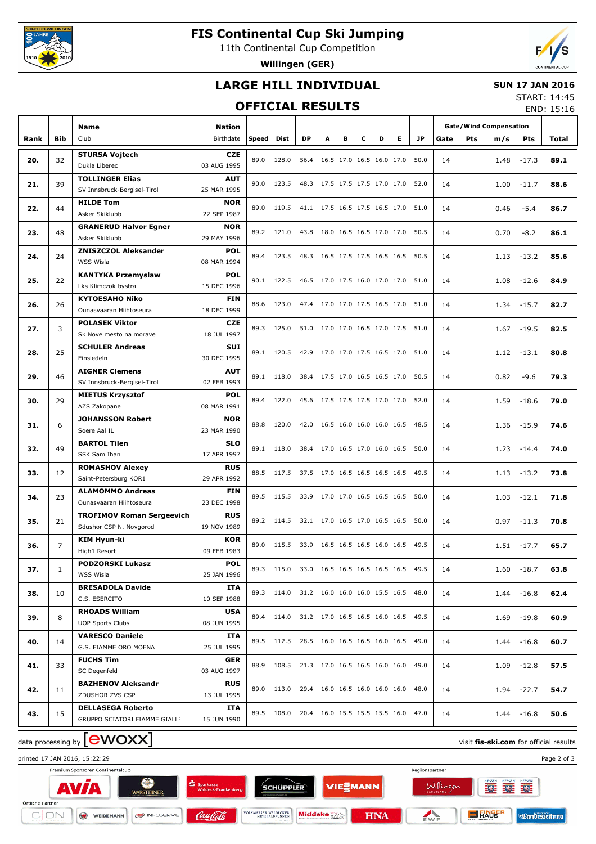

# **FIS Continental Cup Ski Jumping**

11th Continental Cup Competition

**Willingen (GER)**



### **LARGE HILL INDIVIDUAL**

#### **SUN 17 JAN 2016**

## **OFFICIAL RESULTS**

START: 14:45 END: 15:16

|      | END: 12:10     |                                  |                           |       |            |           |   |                          |                          |                          |   |           |                               |     |      |               |       |  |
|------|----------------|----------------------------------|---------------------------|-------|------------|-----------|---|--------------------------|--------------------------|--------------------------|---|-----------|-------------------------------|-----|------|---------------|-------|--|
|      |                | <b>Name</b>                      | <b>Nation</b>             |       |            |           |   |                          |                          |                          |   |           | <b>Gate/Wind Compensation</b> |     |      |               |       |  |
| Rank | Bib            | Club                             | Birthdate                 | Speed | Dist       | <b>DP</b> | A | в                        | c                        | D                        | Е | <b>JP</b> | Gate                          | Pts | m/s  | <b>Pts</b>    | Total |  |
|      |                |                                  |                           |       |            |           |   |                          |                          |                          |   |           |                               |     |      |               |       |  |
| 20.  | 32             | <b>STURSA Vojtech</b>            | <b>CZE</b>                | 89.0  | 128.0      | 56.4      |   |                          | 16.5 17.0 16.5 16.0 17.0 |                          |   | 50.0      | 14                            |     | 1.48 | $-17.3$       | 89.1  |  |
|      |                | Dukla Liberec                    | 03 AUG 1995               |       |            |           |   |                          |                          |                          |   |           |                               |     |      |               |       |  |
|      | 39             | <b>TOLLINGER Elias</b>           | <b>AUT</b>                | 90.0  | 123.5      | 48.3      |   |                          | 17.5 17.5 17.5 17.0 17.0 |                          |   | 52.0      | 14                            |     |      |               | 88.6  |  |
| 21.  |                | SV Innsbruck-Bergisel-Tirol      | 25 MAR 1995               |       |            |           |   |                          |                          |                          |   |           |                               |     | 1.00 | $-11.7$       |       |  |
|      |                | <b>HILDE Tom</b>                 | NOR                       |       |            |           |   |                          |                          |                          |   |           |                               |     |      |               |       |  |
| 22.  | 44             | Asker Skiklubb                   | 22 SEP 1987               | 89.0  | 119.5      | 41.1      |   |                          | 17.5 16.5 17.5 16.5 17.0 |                          |   | 51.0      | 14                            |     | 0.46 | $-5.4$        | 86.7  |  |
|      |                | <b>GRANERUD Halvor Egner</b>     | NOR                       |       |            |           |   |                          |                          |                          |   |           |                               |     |      |               |       |  |
| 23.  | 48             | Asker Skiklubb                   | 29 MAY 1996               | 89.2  | 121.0      | 43.8      |   |                          | 18.0 16.5 16.5 17.0 17.0 |                          |   | 50.5      | 14                            |     | 0.70 | $-8.2$        | 86.1  |  |
|      |                | <b>ZNISZCZOL Aleksander</b>      | POL                       |       |            |           |   |                          |                          |                          |   |           |                               |     |      |               |       |  |
| 24.  | 24             | WSS Wisla                        | 08 MAR 1994               | 89.4  | 123.5      | 48.3      |   |                          | 16.5 17.5 17.5 16.5 16.5 |                          |   | 50.5      | 14                            |     | 1.13 | $-13.2$       | 85.6  |  |
|      |                | <b>KANTYKA Przemyslaw</b>        | <b>POL</b>                |       |            |           |   |                          |                          |                          |   |           |                               |     |      |               |       |  |
| 25.  | 22             | Lks Klimczok bystra              | 15 DEC 1996               | 90.1  | 122.5      | 46.5      |   |                          | 17.0 17.5 16.0 17.0 17.0 |                          |   | 51.0      | 14                            |     | 1.08 | $-12.6$       | 84.9  |  |
|      |                | <b>KYTOESAHO Niko</b>            |                           |       |            |           |   |                          |                          |                          |   |           |                               |     |      |               |       |  |
| 26.  | 26             |                                  | <b>FIN</b><br>18 DEC 1999 | 88.6  | 123.0      | 47.4      |   |                          | 17.0 17.0 17.5 16.5 17.0 |                          |   | 51.0      | 14                            |     | 1.34 | $-15.7$       | 82.7  |  |
|      |                | Ounasvaaran Hiihtoseura          |                           |       |            |           |   |                          |                          |                          |   |           |                               |     |      |               |       |  |
| 27.  | 3              | <b>POLASEK Viktor</b>            | <b>CZE</b>                | 89.3  | 125.0      | 51.0      |   |                          | 17.0 17.0 16.5 17.0 17.5 |                          |   | 51.0      | 14                            |     | 1.67 | $-19.5$       | 82.5  |  |
|      |                | Sk Nove mesto na morave          | 18 JUL 1997               |       |            |           |   |                          |                          |                          |   |           |                               |     |      |               |       |  |
| 28.  | 25             | <b>SCHULER Andreas</b>           | <b>SUI</b>                | 89.1  | 120.5      | 42.9      |   |                          | 17.0 17.0 17.5 16.5 17.0 |                          |   | 51.0      | 14                            |     | 1.12 | $-13.1$       | 80.8  |  |
|      |                | Einsiedeln                       | 30 DEC 1995               |       |            |           |   |                          |                          |                          |   |           |                               |     |      |               |       |  |
| 29.  | 46             | <b>AIGNER Clemens</b>            | <b>AUT</b>                |       | 89.1 118.0 | 38.4      |   |                          | 17.5 17.0 16.5 16.5 17.0 |                          |   | 50.5      | 14                            |     | 0.82 | $-9.6$        | 79.3  |  |
|      |                | SV Innsbruck-Bergisel-Tirol      | 02 FEB 1993               |       |            |           |   |                          |                          |                          |   |           |                               |     |      |               |       |  |
| 30.  | 29             | <b>MIETUS Krzysztof</b>          | <b>POL</b>                | 89.4  | 122.0      | 45.6      |   |                          | 17.5 17.5 17.5 17.0 17.0 |                          |   | 52.0      | 14                            |     | 1.59 | $-18.6$       | 79.0  |  |
|      |                | AZS Zakopane                     | 08 MAR 1991               |       |            |           |   |                          |                          |                          |   |           |                               |     |      |               |       |  |
| 31.  | 6              | <b>JOHANSSON Robert</b>          | <b>NOR</b>                | 88.8  | 120.0      | 42.0      |   |                          | 16.5 16.0 16.0 16.0 16.5 |                          |   | 48.5      | 14                            |     | 1.36 | $-15.9$       | 74.6  |  |
|      |                | Soere Aal IL                     | 23 MAR 1990               |       |            |           |   |                          |                          |                          |   |           |                               |     |      |               |       |  |
| 32.  | 49             | <b>BARTOL Tilen</b>              | <b>SLO</b>                |       | 89.1 118.0 | 38.4      |   | 17.0 16.5 17.0 16.0 16.5 |                          |                          |   | 50.0      | 14                            |     | 1.23 | $-14.4$       | 74.0  |  |
|      |                | SSK Sam Ihan                     | 17 APR 1997               |       |            |           |   |                          |                          |                          |   |           |                               |     |      |               |       |  |
|      |                | <b>ROMASHOV Alexey</b>           | <b>RUS</b>                |       |            |           |   |                          |                          |                          |   |           | 14                            |     |      |               |       |  |
| 33.  | 12             | Saint-Petersburg KOR1            | 29 APR 1992               | 88.5  | 117.5      | 37.5      |   | 17.0 16.5 16.5 16.5 16.5 |                          |                          |   | 49.5      |                               |     | 1.13 | $-13.2$       | 73.8  |  |
|      |                | <b>ALAMOMMO Andreas</b>          | <b>FIN</b>                |       |            |           |   |                          |                          |                          |   |           |                               |     |      |               |       |  |
| 34.  | 23             | Ounasvaaran Hiihtoseura          | 23 DEC 1998               | 89.5  | 115.5      | 33.9      |   |                          | 17.0 17.0 16.5 16.5 16.5 |                          |   | 50.0      | 14                            |     | 1.03 | $-12.1$       | 71.8  |  |
|      |                | <b>TROFIMOV Roman Sergeevich</b> | <b>RUS</b>                |       |            |           |   |                          |                          |                          |   |           |                               |     |      |               |       |  |
| 35.  | 21             | Sdushor CSP N. Novgorod          | 19 NOV 1989               |       | 89.2 114.5 | 32.1      |   |                          | 17.0 16.5 17.0 16.5 16.5 |                          |   | 50.0      | 14                            |     | 0.97 | $-11.3$       | 70.8  |  |
|      |                | KIM Hyun-ki                      | KOR                       |       |            |           |   |                          |                          |                          |   |           |                               |     |      |               |       |  |
| 36.  | $\overline{7}$ | High1 Resort                     | 09 FEB 1983               |       | 89.0 115.5 | 33.9      |   |                          | 16.5 16.5 16.5 16.0 16.5 |                          |   | 49.5      | 14                            |     |      | $1.51 - 17.7$ | 65.7  |  |
|      |                | <b>PODZORSKI Lukasz</b>          | <b>POL</b>                |       |            |           |   |                          |                          |                          |   |           |                               |     |      |               |       |  |
| 37.  | $\mathbf{1}$   | WSS Wisla                        | 25 JAN 1996               |       | 89.3 115.0 | 33.0      |   |                          | 16.5 16.5 16.5 16.5 16.5 |                          |   | 49.5      | 14                            |     |      | $1.60 - 18.7$ | 63.8  |  |
|      |                | <b>BRESADOLA Davide</b>          | ITA                       |       |            |           |   |                          |                          |                          |   |           |                               |     |      |               |       |  |
| 38.  | 10             | C.S. ESERCITO                    | 10 SEP 1988               |       | 89.3 114.0 | 31.2      |   |                          | 16.0 16.0 16.0 15.5 16.5 |                          |   | 48.0      | 14                            |     | 1.44 | $-16.8$       | 62.4  |  |
|      |                | <b>RHOADS William</b>            | <b>USA</b>                |       |            |           |   |                          |                          |                          |   |           |                               |     |      |               |       |  |
| 39.  | 8              | <b>UOP Sports Clubs</b>          | 08 JUN 1995               |       | 89.4 114.0 | 31.2      |   |                          | 17.0 16.5 16.5 16.0 16.5 |                          |   | 49.5      | 14                            |     |      | $1.69 - 19.8$ | 60.9  |  |
|      |                |                                  |                           |       |            |           |   |                          |                          |                          |   |           |                               |     |      |               |       |  |
| 40.  | 14             | <b>VARESCO Daniele</b>           | ITA                       |       | 89.5 112.5 | 28.5      |   |                          | 16.0 16.5 16.5 16.0 16.5 |                          |   | 49.0      | 14                            |     | 1.44 | $-16.8$       | 60.7  |  |
|      |                | G.S. FIAMME ORO MOENA            | 25 JUL 1995               |       |            |           |   |                          |                          |                          |   |           |                               |     |      |               |       |  |
| 41.  | 33             | <b>FUCHS Tim</b>                 | <b>GER</b>                |       | 88.9 108.5 | 21.3      |   |                          | 17.0 16.5 16.5 16.0 16.0 |                          |   | 49.0      | 14                            |     | 1.09 | $-12.8$       | 57.5  |  |
|      |                | SC Degenfeld                     | 03 AUG 1997               |       |            |           |   |                          |                          |                          |   |           |                               |     |      |               |       |  |
| 42.  | 11             | <b>BAZHENOV Aleksandr</b>        | <b>RUS</b>                |       | 89.0 113.0 | 29.4      |   |                          |                          | 16.0 16.5 16.0 16.0 16.0 |   | 48.0      | 14                            |     | 1.94 | $-22.7$       | 54.7  |  |
|      |                | ZDUSHOR ZVS CSP                  | 13 JUL 1995               |       |            |           |   |                          |                          |                          |   |           |                               |     |      |               |       |  |
| 43.  | 15             | <b>DELLASEGA Roberto</b>         | ITA                       |       | 89.5 108.0 | 20.4      |   |                          | 16.0 15.5 15.5 15.5 16.0 |                          |   | 47.0      | 14                            |     |      | $1.44 - 16.8$ | 50.6  |  |
|      |                | GRUPPO SCIATORI FIAMME GIALLE    | 15 JUN 1990               |       |            |           |   |                          |                          |                          |   |           |                               |     |      |               |       |  |
|      |                |                                  |                           |       |            |           |   |                          |                          |                          |   |           |                               |     |      |               |       |  |

# data processing by **CWOXX** and  $\overline{C}$  and  $\overline{C}$  and  $\overline{C}$  and  $\overline{C}$  and  $\overline{C}$  and  $\overline{C}$  and  $\overline{C}$  and  $\overline{C}$  and  $\overline{C}$  and  $\overline{C}$  and  $\overline{C}$  and  $\overline{C}$  and  $\overline{C}$  and  $\overline{C}$  and  $\overline{C}$